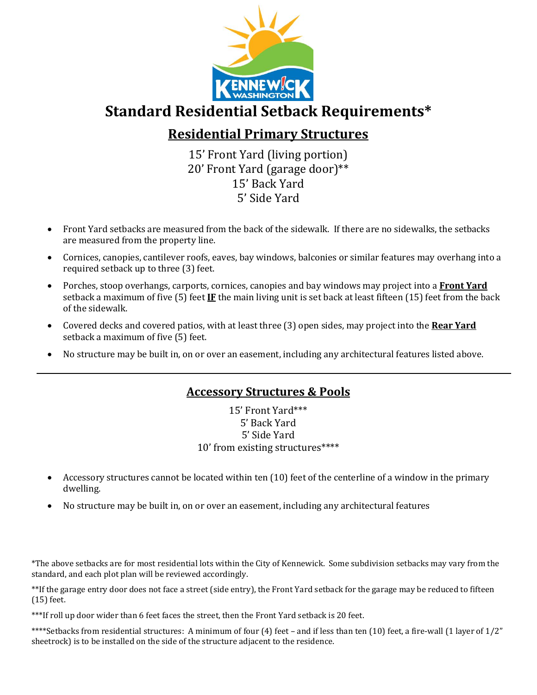

## **Standard Residential Setback Requirements\***

## **Residential Primary Structures**

15' Front Yard (living portion) 20' Front Yard (garage door)\*\* 15' Back Yard 5' Side Yard

- Front Yard setbacks are measured from the back of the sidewalk. If there are no sidewalks, the setbacks are measured from the property line.
- Cornices, canopies, cantilever roofs, eaves, bay windows, balconies or similar features may overhang into a required setback up to three (3) feet.
- Porches, stoop overhangs, carports, cornices, canopies and bay windows may project into a **Front Yard** setback a maximum of five (5) feet **IF** the main living unit is set back at least fifteen (15) feet from the back of the sidewalk.
- Covered decks and covered patios, with at least three (3) open sides, may project into the **Rear Yard** setback a maximum of five (5) feet.
- No structure may be built in, on or over an easement, including any architectural features listed above.

## **Accessory Structures & Pools**

15' Front Yard\*\*\* 5' Back Yard 5' Side Yard 10' from existing structures\*\*\*\*

- Accessory structures cannot be located within ten (10) feet of the centerline of a window in the primary dwelling.
- No structure may be built in, on or over an easement, including any architectural features

\*The above setbacks are for most residential lots within the City of Kennewick. Some subdivision setbacks may vary from the standard, and each plot plan will be reviewed accordingly.

\*\*If the garage entry door does not face a street (side entry), the Front Yard setback for the garage may be reduced to fifteen (15) feet.

\*\*\*If roll up door wider than 6 feet faces the street, then the Front Yard setback is 20 feet.

\*\*\*\*Setbacks from residential structures: A minimum of four (4) feet – and if less than ten (10) feet, a fire-wall (1 layer of 1/2" sheetrock) is to be installed on the side of the structure adjacent to the residence.